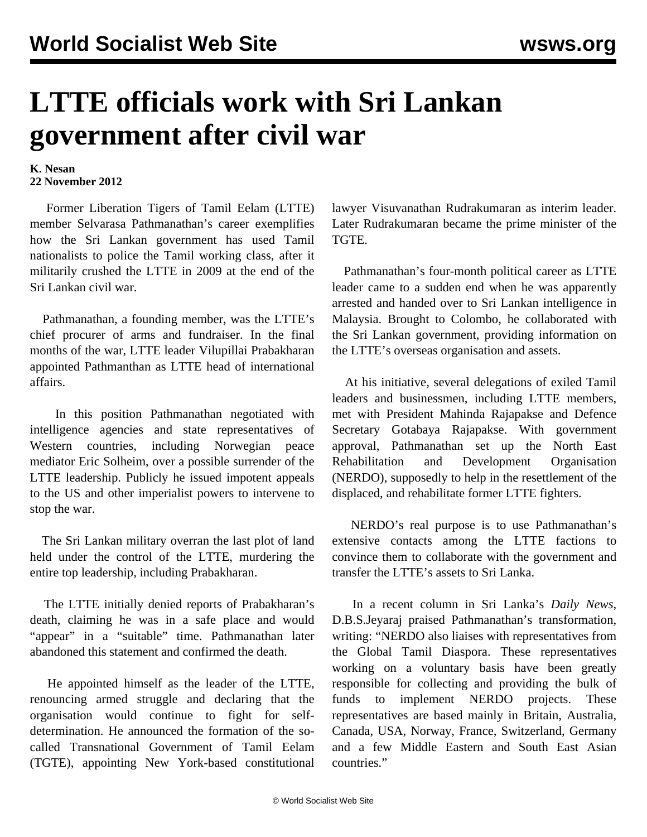## **LTTE officials work with Sri Lankan government after civil war**

## **K. Nesan 22 November 2012**

 Former Liberation Tigers of Tamil Eelam (LTTE) member Selvarasa Pathmanathan's career exemplifies how the Sri Lankan government has used Tamil nationalists to police the Tamil working class, after it militarily crushed the LTTE in 2009 at the end of the Sri Lankan civil war.

 Pathmanathan, a founding member, was the LTTE's chief procurer of arms and fundraiser. In the final months of the war, LTTE leader Vilupillai Prabakharan appointed Pathmanthan as LTTE head of international affairs.

 In this position Pathmanathan negotiated with intelligence agencies and state representatives of Western countries, including Norwegian peace mediator Eric Solheim, over a possible surrender of the LTTE leadership. Publicly he issued impotent appeals to the US and other imperialist powers to intervene to stop the war.

 The Sri Lankan military overran the last plot of land held under the control of the LTTE, murdering the entire top leadership, including Prabakharan.

 The LTTE initially denied reports of Prabakharan's death, claiming he was in a safe place and would "appear" in a "suitable" time. Pathmanathan later abandoned this statement and confirmed the death.

 He appointed himself as the leader of the LTTE, renouncing armed struggle and declaring that the organisation would continue to fight for selfdetermination. He announced the formation of the socalled Transnational Government of Tamil Eelam (TGTE), appointing New York-based constitutional lawyer Visuvanathan Rudrakumaran as interim leader. Later Rudrakumaran became the prime minister of the TGTE.

 Pathmanathan's four-month political career as LTTE leader came to a sudden end when he was apparently arrested and handed over to Sri Lankan intelligence in Malaysia. Brought to Colombo, he collaborated with the Sri Lankan government, providing information on the LTTE's overseas organisation and assets.

 At his initiative, several delegations of exiled Tamil leaders and businessmen, including LTTE members, met with President Mahinda Rajapakse and Defence Secretary Gotabaya Rajapakse. With government approval, Pathmanathan set up the North East Rehabilitation and Development Organisation (NERDO), supposedly to help in the resettlement of the displaced, and rehabilitate former LTTE fighters.

 NERDO's real purpose is to use Pathmanathan's extensive contacts among the LTTE factions to convince them to collaborate with the government and transfer the LTTE's assets to Sri Lanka.

 In a recent column in Sri Lanka's *Daily News*, D.B.S.Jeyaraj praised Pathmanathan's transformation, writing: "NERDO also liaises with representatives from the Global Tamil Diaspora. These representatives working on a voluntary basis have been greatly responsible for collecting and providing the bulk of funds to implement NERDO projects. These representatives are based mainly in Britain, Australia, Canada, USA, Norway, France, Switzerland, Germany and a few Middle Eastern and South East Asian countries."